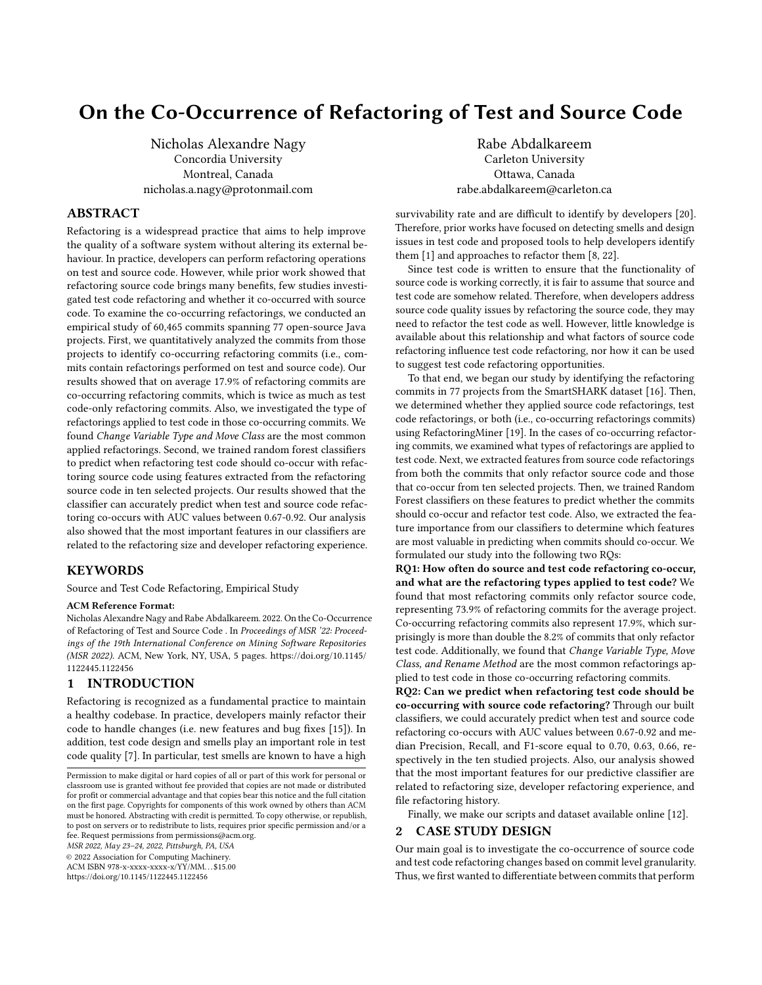# On the Co-Occurrence of Refactoring of Test and Source Code

Nicholas Alexandre Nagy Concordia University Montreal, Canada nicholas.a.nagy@protonmail.com

# ABSTRACT

Refactoring is a widespread practice that aims to help improve the quality of a software system without altering its external behaviour. In practice, developers can perform refactoring operations on test and source code. However, while prior work showed that refactoring source code brings many benefits, few studies investigated test code refactoring and whether it co-occurred with source code. To examine the co-occurring refactorings, we conducted an empirical study of 60,465 commits spanning 77 open-source Java projects. First, we quantitatively analyzed the commits from those projects to identify co-occurring refactoring commits (i.e., commits contain refactorings performed on test and source code). Our results showed that on average 17.9% of refactoring commits are co-occurring refactoring commits, which is twice as much as test code-only refactoring commits. Also, we investigated the type of refactorings applied to test code in those co-occurring commits. We found Change Variable Type and Move Class are the most common applied refactorings. Second, we trained random forest classifiers to predict when refactoring test code should co-occur with refactoring source code using features extracted from the refactoring source code in ten selected projects. Our results showed that the classifier can accurately predict when test and source code refactoring co-occurs with AUC values between 0.67-0.92. Our analysis also showed that the most important features in our classifiers are related to the refactoring size and developer refactoring experience.

#### **KEYWORDS**

Source and Test Code Refactoring, Empirical Study

#### ACM Reference Format:

Nicholas Alexandre Nagy and Rabe Abdalkareem. 2022. On the Co-Occurrence of Refactoring of Test and Source Code . In Proceedings of MSR '22: Proceedings of the 19th International Conference on Mining Software Repositories (MSR 2022). ACM, New York, NY, USA, [5](#page-4-0) pages. [https://doi.org/10.1145/](https://doi.org/10.1145/1122445.1122456) [1122445.1122456](https://doi.org/10.1145/1122445.1122456)

# 1 INTRODUCTION

Refactoring is recognized as a fundamental practice to maintain a healthy codebase. In practice, developers mainly refactor their code to handle changes (i.e. new features and bug fixes [\[15\]](#page-4-1)). In addition, test code design and smells play an important role in test code quality [\[7\]](#page-4-2). In particular, test smells are known to have a high

MSR 2022, May 23–24, 2022, Pittsburgh, PA, USA

© 2022 Association for Computing Machinery.

ACM ISBN 978-x-xxxx-xxxx-x/YY/MM. . . \$15.00

<https://doi.org/10.1145/1122445.1122456>

Rabe Abdalkareem Carleton University Ottawa, Canada rabe.abdalkareem@carleton.ca

survivability rate and are difficult to identify by developers [\[20\]](#page-4-3). Therefore, prior works have focused on detecting smells and design issues in test code and proposed tools to help developers identify them [\[1\]](#page-4-4) and approaches to refactor them [\[8,](#page-4-5) [22\]](#page-4-6).

Since test code is written to ensure that the functionality of source code is working correctly, it is fair to assume that source and test code are somehow related. Therefore, when developers address source code quality issues by refactoring the source code, they may need to refactor the test code as well. However, little knowledge is available about this relationship and what factors of source code refactoring influence test code refactoring, nor how it can be used to suggest test code refactoring opportunities.

To that end, we began our study by identifying the refactoring commits in 77 projects from the SmartSHARK dataset [\[16\]](#page-4-7). Then, we determined whether they applied source code refactorings, test code refactorings, or both (i.e., co-occurring refactorings commits) using RefactoringMiner [\[19\]](#page-4-8). In the cases of co-occurring refactoring commits, we examined what types of refactorings are applied to test code. Next, we extracted features from source code refactorings from both the commits that only refactor source code and those that co-occur from ten selected projects. Then, we trained Random Forest classifiers on these features to predict whether the commits should co-occur and refactor test code. Also, we extracted the feature importance from our classifiers to determine which features are most valuable in predicting when commits should co-occur. We formulated our study into the following two RQs:

RQ1: How often do source and test code refactoring co-occur, and what are the refactoring types applied to test code? We found that most refactoring commits only refactor source code, representing 73.9% of refactoring commits for the average project. Co-occurring refactoring commits also represent 17.9%, which surprisingly is more than double the 8.2% of commits that only refactor test code. Additionally, we found that Change Variable Type, Move Class, and Rename Method are the most common refactorings applied to test code in those co-occurring refactoring commits.

RQ2: Can we predict when refactoring test code should be co-occurring with source code refactoring? Through our built classifiers, we could accurately predict when test and source code refactoring co-occurs with AUC values between 0.67-0.92 and median Precision, Recall, and F1-score equal to 0.70, 0.63, 0.66, respectively in the ten studied projects. Also, our analysis showed that the most important features for our predictive classifier are related to refactoring size, developer refactoring experience, and file refactoring history.

Finally, we make our scripts and dataset available online [\[12\]](#page-4-9).

# 2 CASE STUDY DESIGN

Our main goal is to investigate the co-occurrence of source code and test code refactoring changes based on commit level granularity. Thus, we first wanted to differentiate between commits that perform

Permission to make digital or hard copies of all or part of this work for personal or classroom use is granted without fee provided that copies are not made or distributed for profit or commercial advantage and that copies bear this notice and the full citation on the first page. Copyrights for components of this work owned by others than ACM must be honored. Abstracting with credit is permitted. To copy otherwise, or republish, to post on servers or to redistribute to lists, requires prior specific permission and/or a fee. Request permissions from permissions@acm.org.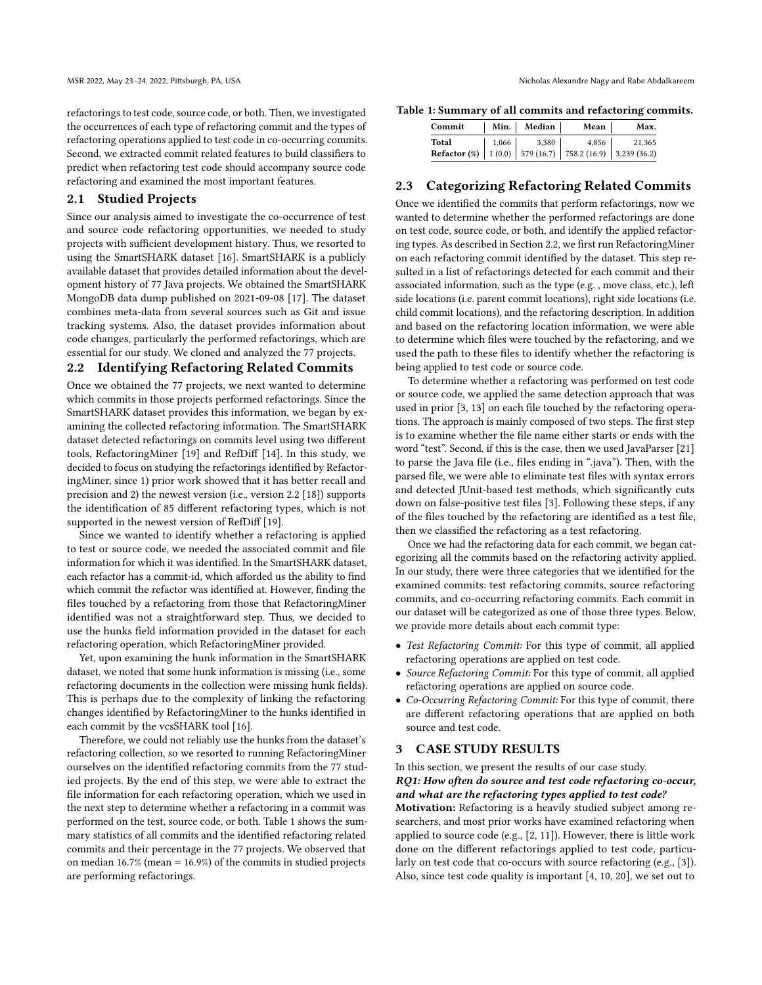refactorings to test code, source code, or both. Then, we investigated the occurrences of each type of refactoring commit and the types of refactoring operations applied to test code in co-occurring commits. Second, we extracted commit related features to build classifiers to predict when refactoring test code should accompany source code refactoring and examined the most important features.

#### 2.1 Studied Projects

Since our analysis aimed to investigate the co-occurrence of test and source code refactoring opportunities, we needed to study projects with sufficient development history. Thus, we resorted to using the SmartSHARK dataset [\[16\]](#page-4-7). SmartSHARK is a publicly available dataset that provides detailed information about the development history of 77 Java projects. We obtained the SmartSHARK MongoDB data dump published on 2021-09-08 [\[17\]](#page-4-10). The dataset combines meta-data from several sources such as Git and issue tracking systems. Also, the dataset provides information about code changes, particularly the performed refactorings, which are essential for our study. We cloned and analyzed the 77 projects.

# <span id="page-1-1"></span>2.2 Identifying Refactoring Related Commits

Once we obtained the 77 projects, we next wanted to determine which commits in those projects performed refactorings. Since the SmartSHARK dataset provides this information, we began by examining the collected refactoring information. The SmartSHARK dataset detected refactorings on commits level using two different tools, RefactoringMiner [\[19\]](#page-4-8) and RefDiff [\[14\]](#page-4-11). In this study, we decided to focus on studying the refactorings identified by RefactoringMiner, since 1) prior work showed that it has better recall and precision and 2) the newest version (i.e., version 2.2 [\[18\]](#page-4-12)) supports the identification of 85 different refactoring types, which is not supported in the newest version of RefDiff [\[19\]](#page-4-8).

Since we wanted to identify whether a refactoring is applied to test or source code, we needed the associated commit and file information for which it was identified. In the SmartSHARK dataset, each refactor has a commit-id, which afforded us the ability to find which commit the refactor was identified at. However, finding the files touched by a refactoring from those that RefactoringMiner identified was not a straightforward step. Thus, we decided to use the hunks field information provided in the dataset for each refactoring operation, which RefactoringMiner provided.

Yet, upon examining the hunk information in the SmartSHARK dataset, we noted that some hunk information is missing (i.e., some refactoring documents in the collection were missing hunk fields). This is perhaps due to the complexity of linking the refactoring changes identified by RefactoringMiner to the hunks identified in each commit by the vcsSHARK tool [\[16\]](#page-4-7).

Therefore, we could not reliably use the hunks from the dataset's refactoring collection, so we resorted to running RefactoringMiner ourselves on the identified refactoring commits from the 77 studied projects. By the end of this step, we were able to extract the file information for each refactoring operation, which we used in the next step to determine whether a refactoring in a commit was performed on the test, source code, or both. Table [1](#page-1-0) shows the summary statistics of all commits and the identified refactoring related commits and their percentage in the 77 projects. We observed that on median 16.7% (mean = 16.9%) of the commits in studied projects are performing refactorings.

<span id="page-1-0"></span>Table 1: Summary of all commits and refactoring commits.

| Commit                                                                                                                                  |       | Min.   Median | Mean  | Max.   |
|-----------------------------------------------------------------------------------------------------------------------------------------|-------|---------------|-------|--------|
| Total                                                                                                                                   | 1.066 | 3,380         | 4.856 | 21,365 |
| <b>Refactor</b> (%) $\begin{array}{ c c c c c c } \hline 1 & (0.0) & 579 & (16.7) & 758.2 & (16.9) & 3,239 & (36.2) \hline \end{array}$ |       |               |       |        |

### 2.3 Categorizing Refactoring Related Commits

Once we identified the commits that perform refactorings, now we wanted to determine whether the performed refactorings are done on test code, source code, or both, and identify the applied refactoring types. As described in Section [2.2,](#page-1-1) we first run RefactoringMiner on each refactoring commit identified by the dataset. This step resulted in a list of refactorings detected for each commit and their associated information, such as the type (e.g. , move class, etc.), left side locations (i.e. parent commit locations), right side locations (i.e. child commit locations), and the refactoring description. In addition and based on the refactoring location information, we were able to determine which files were touched by the refactoring, and we used the path to these files to identify whether the refactoring is being applied to test code or source code.

To determine whether a refactoring was performed on test code or source code, we applied the same detection approach that was used in prior [\[3,](#page-4-13) [13\]](#page-4-14) on each file touched by the refactoring operations. The approach is mainly composed of two steps. The first step is to examine whether the file name either starts or ends with the word "test". Second, if this is the case, then we used JavaParser [\[21\]](#page-4-15) to parse the Java file (i.e., files ending in ".java"). Then, with the parsed file, we were able to eliminate test files with syntax errors and detected JUnit-based test methods, which significantly cuts down on false-positive test files [\[3\]](#page-4-13). Following these steps, if any of the files touched by the refactoring are identified as a test file, then we classified the refactoring as a test refactoring.

Once we had the refactoring data for each commit, we began categorizing all the commits based on the refactoring activity applied. In our study, there were three categories that we identified for the examined commits: test refactoring commits, source refactoring commits, and co-occurring refactoring commits. Each commit in our dataset will be categorized as one of those three types. Below, we provide more details about each commit type:

- Test Refactoring Commit: For this type of commit, all applied refactoring operations are applied on test code.
- Source Refactoring Commit: For this type of commit, all applied refactoring operations are applied on source code.
- Co-Occurring Refactoring Commit: For this type of commit, there are different refactoring operations that are applied on both source and test code.

#### 3 CASE STUDY RESULTS

In this section, we present the results of our case study.

#### RQ1: How often do source and test code refactoring co-occur, and what are the refactoring types applied to test code?

Motivation: Refactoring is a heavily studied subject among researchers, and most prior works have examined refactoring when applied to source code (e.g., [\[2,](#page-4-16) [11\]](#page-4-17)). However, there is little work done on the different refactorings applied to test code, particularly on test code that co-occurs with source refactoring (e.g., [\[3\]](#page-4-13)). Also, since test code quality is important [\[4,](#page-4-18) [10,](#page-4-19) [20\]](#page-4-3), we set out to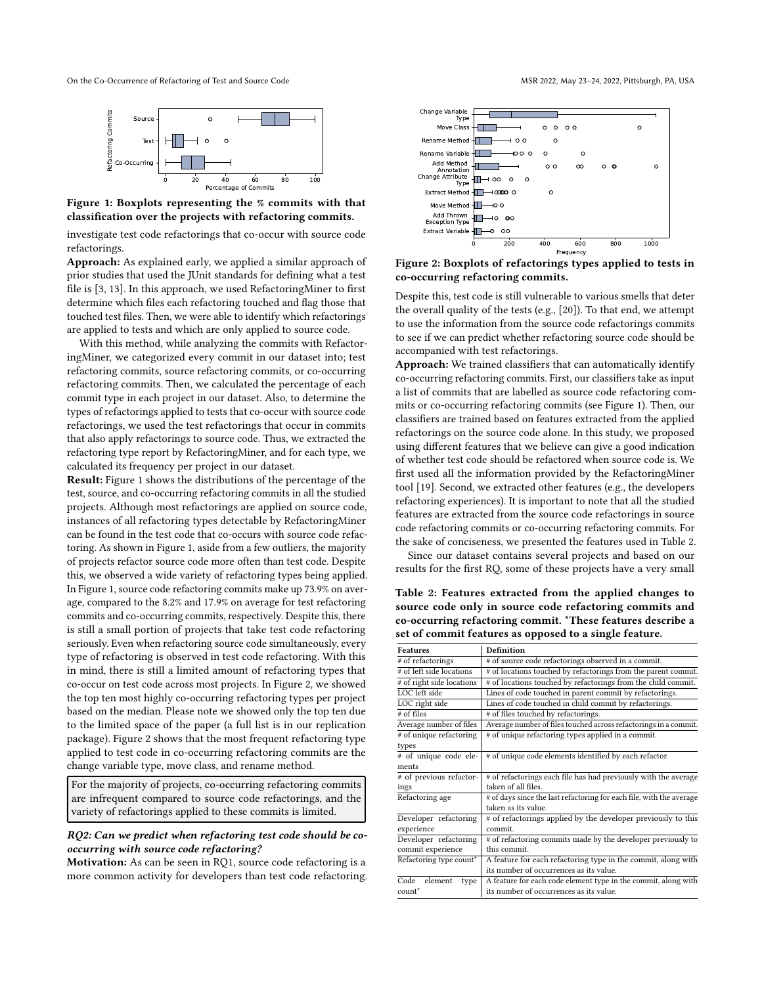<span id="page-2-0"></span>On the Co-Occurrence of Refactoring of Test and Source Code MSR 2022, May 23-24, 2022, Pittsburgh, PA, USA



Figure 1: Boxplots representing the % commits with that classification over the projects with refactoring commits.

investigate test code refactorings that co-occur with source code refactorings.

Approach: As explained early, we applied a similar approach of prior studies that used the JUnit standards for defining what a test file is [\[3,](#page-4-13) [13\]](#page-4-14). In this approach, we used RefactoringMiner to first determine which files each refactoring touched and flag those that touched test files. Then, we were able to identify which refactorings are applied to tests and which are only applied to source code.

With this method, while analyzing the commits with RefactoringMiner, we categorized every commit in our dataset into; test refactoring commits, source refactoring commits, or co-occurring refactoring commits. Then, we calculated the percentage of each commit type in each project in our dataset. Also, to determine the types of refactorings applied to tests that co-occur with source code refactorings, we used the test refactorings that occur in commits that also apply refactorings to source code. Thus, we extracted the refactoring type report by RefactoringMiner, and for each type, we calculated its frequency per project in our dataset.

Result: Figure [1](#page-2-0) shows the distributions of the percentage of the test, source, and co-occurring refactoring commits in all the studied projects. Although most refactorings are applied on source code, instances of all refactoring types detectable by RefactoringMiner can be found in the test code that co-occurs with source code refactoring. As shown in Figure [1,](#page-2-0) aside from a few outliers, the majority of projects refactor source code more often than test code. Despite this, we observed a wide variety of refactoring types being applied. In Figure [1,](#page-2-0) source code refactoring commits make up 73.9% on average, compared to the 8.2% and 17.9% on average for test refactoring commits and co-occurring commits, respectively. Despite this, there is still a small portion of projects that take test code refactoring seriously. Even when refactoring source code simultaneously, every type of refactoring is observed in test code refactoring. With this in mind, there is still a limited amount of refactoring types that co-occur on test code across most projects. In Figure [2,](#page-2-1) we showed the top ten most highly co-occurring refactoring types per project based on the median. Please note we showed only the top ten due to the limited space of the paper (a full list is in our replication package). Figure [2](#page-2-1) shows that the most frequent refactoring type applied to test code in co-occurring refactoring commits are the change variable type, move class, and rename method.

For the majority of projects, co-occurring refactoring commits are infrequent compared to source code refactorings, and the variety of refactorings applied to these commits is limited.

#### RQ2: Can we predict when refactoring test code should be cooccurring with source code refactoring?

Motivation: As can be seen in RQ1, source code refactoring is a more common activity for developers than test code refactoring.

<span id="page-2-1"></span>

Figure 2: Boxplots of refactorings types applied to tests in co-occurring refactoring commits.

Despite this, test code is still vulnerable to various smells that deter the overall quality of the tests (e.g., [\[20\]](#page-4-3)). To that end, we attempt to use the information from the source code refactorings commits to see if we can predict whether refactoring source code should be accompanied with test refactorings.

Approach: We trained classifiers that can automatically identify co-occurring refactoring commits. First, our classifiers take as input a list of commits that are labelled as source code refactoring commits or co-occurring refactoring commits (see Figure [1\)](#page-2-0). Then, our classifiers are trained based on features extracted from the applied refactorings on the source code alone. In this study, we proposed using different features that we believe can give a good indication of whether test code should be refactored when source code is. We first used all the information provided by the RefactoringMiner tool [\[19\]](#page-4-8). Second, we extracted other features (e.g., the developers refactoring experiences). It is important to note that all the studied features are extracted from the source code refactorings in source code refactoring commits or co-occurring refactoring commits. For the sake of conciseness, we presented the features used in Table [2.](#page-2-2)

Since our dataset contains several projects and based on our results for the first RQ, some of these projects have a very small

<span id="page-2-2"></span>Table 2: Features extracted from the applied changes to source code only in source code refactoring commits and co-occurring refactoring commit. \*These features describe a set of commit features as opposed to a single feature.

| Definition                                                           |  |  |
|----------------------------------------------------------------------|--|--|
| # of source code refactorings observed in a commit.                  |  |  |
| # of locations touched by refactorings from the parent commit.       |  |  |
| # of locations touched by refactorings from the child commit.        |  |  |
| Lines of code touched in parent commit by refactorings.              |  |  |
| Lines of code touched in child commit by refactorings.               |  |  |
| # of files touched by refactorings.                                  |  |  |
| Average number of files touched across refactorings in a commit.     |  |  |
| # of unique refactoring types applied in a commit.                   |  |  |
|                                                                      |  |  |
| # of unique code elements identified by each refactor.               |  |  |
|                                                                      |  |  |
| # of refactorings each file has had previously with the average      |  |  |
| taken of all files.                                                  |  |  |
| # of days since the last refactoring for each file, with the average |  |  |
| taken as its value.                                                  |  |  |
| # of refactorings applied by the developer previously to this        |  |  |
| commit.                                                              |  |  |
| # of refactoring commits made by the developer previously to         |  |  |
| this commit.                                                         |  |  |
| A feature for each refactoring type in the commit, along with        |  |  |
| its number of occurrences as its value.                              |  |  |
| A feature for each code element type in the commit, along with       |  |  |
| its number of occurrences as its value.                              |  |  |
|                                                                      |  |  |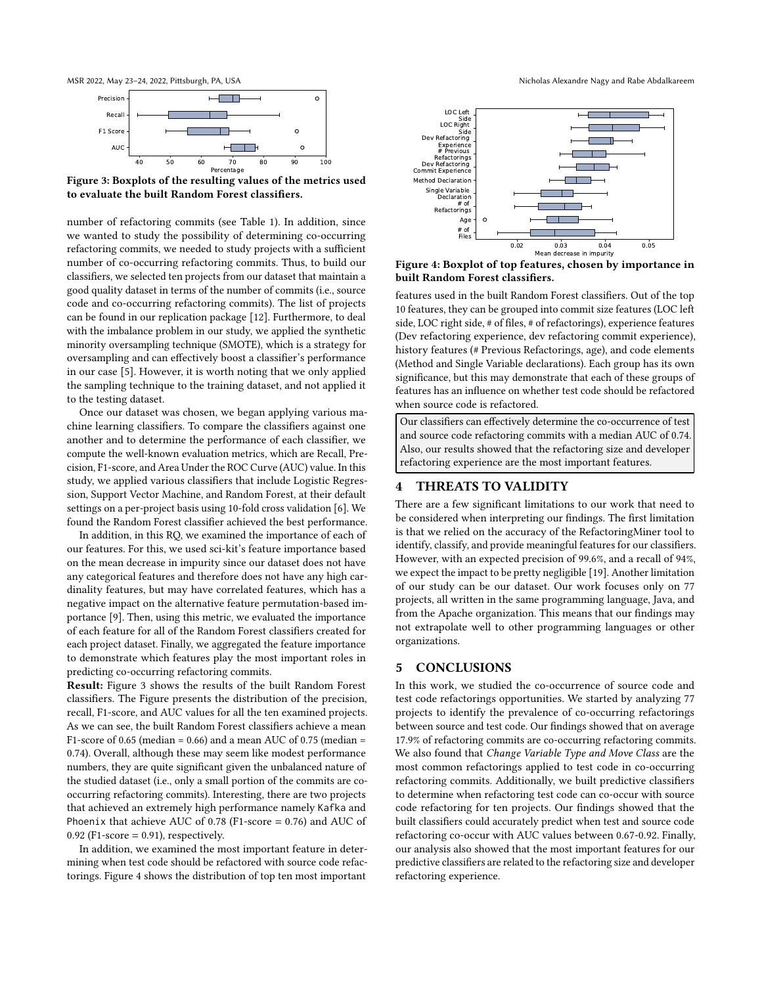<span id="page-3-0"></span>



Figure 3: Boxplots of the resulting values of the metrics used to evaluate the built Random Forest classifiers.

number of refactoring commits (see Table [1\)](#page-1-0). In addition, since we wanted to study the possibility of determining co-occurring refactoring commits, we needed to study projects with a sufficient number of co-occurring refactoring commits. Thus, to build our classifiers, we selected ten projects from our dataset that maintain a good quality dataset in terms of the number of commits (i.e., source code and co-occurring refactoring commits). The list of projects can be found in our replication package [\[12\]](#page-4-9). Furthermore, to deal with the imbalance problem in our study, we applied the synthetic minority oversampling technique (SMOTE), which is a strategy for oversampling and can effectively boost a classifier's performance in our case [\[5\]](#page-4-20). However, it is worth noting that we only applied the sampling technique to the training dataset, and not applied it to the testing dataset.

Once our dataset was chosen, we began applying various machine learning classifiers. To compare the classifiers against one another and to determine the performance of each classifier, we compute the well-known evaluation metrics, which are Recall, Precision, F1-score, and Area Under the ROC Curve (AUC) value. In this study, we applied various classifiers that include Logistic Regression, Support Vector Machine, and Random Forest, at their default settings on a per-project basis using 10-fold cross validation [\[6\]](#page-4-21). We found the Random Forest classifier achieved the best performance.

In addition, in this RQ, we examined the importance of each of our features. For this, we used sci-kit's feature importance based on the mean decrease in impurity since our dataset does not have any categorical features and therefore does not have any high cardinality features, but may have correlated features, which has a negative impact on the alternative feature permutation-based importance [\[9\]](#page-4-22). Then, using this metric, we evaluated the importance of each feature for all of the Random Forest classifiers created for each project dataset. Finally, we aggregated the feature importance to demonstrate which features play the most important roles in predicting co-occurring refactoring commits.

Result: Figure [3](#page-3-0) shows the results of the built Random Forest classifiers. The Figure presents the distribution of the precision, recall, F1-score, and AUC values for all the ten examined projects. As we can see, the built Random Forest classifiers achieve a mean F1-score of 0.65 (median = 0.66) and a mean AUC of 0.75 (median = 0.74). Overall, although these may seem like modest performance numbers, they are quite significant given the unbalanced nature of the studied dataset (i.e., only a small portion of the commits are cooccurring refactoring commits). Interesting, there are two projects that achieved an extremely high performance namely Kafka and Phoenix that achieve AUC of 0.78 (F1-score = 0.76) and AUC of 0.92 (F1-score =  $0.91$ ), respectively.

In addition, we examined the most important feature in determining when test code should be refactored with source code refactorings. Figure [4](#page-3-1) shows the distribution of top ten most important

<span id="page-3-1"></span>

Figure 4: Boxplot of top features, chosen by importance in built Random Forest classifiers.

features used in the built Random Forest classifiers. Out of the top 10 features, they can be grouped into commit size features (LOC left side, LOC right side, # of files, # of refactorings), experience features (Dev refactoring experience, dev refactoring commit experience), history features (# Previous Refactorings, age), and code elements (Method and Single Variable declarations). Each group has its own significance, but this may demonstrate that each of these groups of features has an influence on whether test code should be refactored when source code is refactored.

Our classifiers can effectively determine the co-occurrence of test and source code refactoring commits with a median AUC of 0.74. Also, our results showed that the refactoring size and developer refactoring experience are the most important features.

# 4 THREATS TO VALIDITY

There are a few significant limitations to our work that need to be considered when interpreting our findings. The first limitation is that we relied on the accuracy of the RefactoringMiner tool to identify, classify, and provide meaningful features for our classifiers. However, with an expected precision of 99.6%, and a recall of 94%, we expect the impact to be pretty negligible [\[19\]](#page-4-8). Another limitation of our study can be our dataset. Our work focuses only on 77 projects, all written in the same programming language, Java, and from the Apache organization. This means that our findings may not extrapolate well to other programming languages or other organizations.

# 5 CONCLUSIONS

In this work, we studied the co-occurrence of source code and test code refactorings opportunities. We started by analyzing 77 projects to identify the prevalence of co-occurring refactorings between source and test code. Our findings showed that on average 17.9% of refactoring commits are co-occurring refactoring commits. We also found that Change Variable Type and Move Class are the most common refactorings applied to test code in co-occurring refactoring commits. Additionally, we built predictive classifiers to determine when refactoring test code can co-occur with source code refactoring for ten projects. Our findings showed that the built classifiers could accurately predict when test and source code refactoring co-occur with AUC values between 0.67-0.92. Finally, our analysis also showed that the most important features for our predictive classifiers are related to the refactoring size and developer refactoring experience.